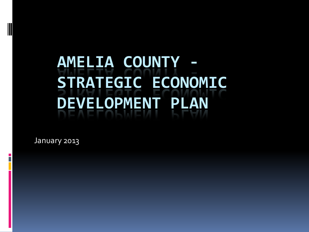# **AMELIA COUNTY - STRATEGIC ECONOMIC DEVELOPMENT PLAN**

January 2013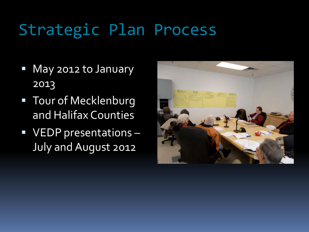# Strategic Plan Process

- **May 2012 to January** 2013
- **Tour of Mecklenburg** and Halifax Counties
- **VEDP presentations -**July and August 2012

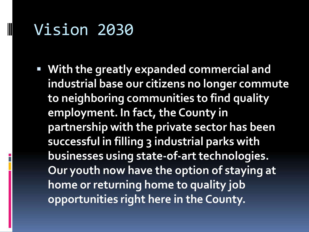### Vision 2030

 **With the greatly expanded commercial and industrial base our citizens no longer commute to neighboring communities to find quality employment. In fact, the County in partnership with the private sector has been successful in filling 3 industrial parks with businesses using state-of-art technologies. Our youth now have the option of staying at home or returning home to quality job opportunities right here in the County.**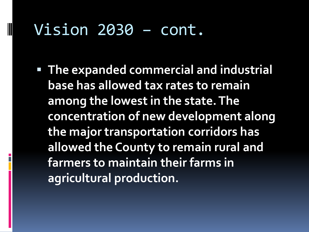#### Vision 2030 – cont.

 **The expanded commercial and industrial base has allowed tax rates to remain among the lowest in the state. The concentration of new development along the major transportation corridors has allowed the County to remain rural and farmers to maintain their farms in agricultural production.**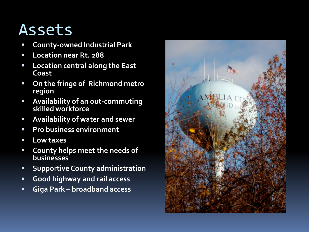### Assets

- **County-owned Industrial Park**
- **Location near Rt. 288**
- **Location central along the East Coast**
- **On the fringe of Richmond metro region**
- **Availability of an out-commuting skilled workforce**
- **Availability of water and sewer**
- **Pro business environment**
- **Low taxes**
- **County helps meet the needs of businesses**
- **E** Supportive County administration
- **Good highway and rail access**
- **Giga Park – broadband access**

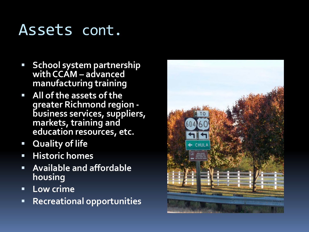### Assets cont.

- **School system partnership with CCAM – advanced manufacturing training**
- **All of the assets of the** <br>**All of the assets of the** <br>**All of the assets of the business services, suppliers, markets, training and education resources, etc.**
- **Quality of life**
- **Historic homes**
- **Available and affordable housing**
- **Low crime**
- **Recreational opportunities**

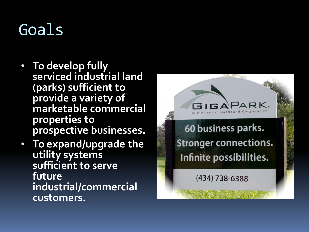# Goals

- **To develop fully serviced industrial land (parks) sufficient to provide a variety of marketable commercial properties to prospective businesses.**
- **To expand/upgrade the utility systems sufficient to serve future industrial/commercial customers.**

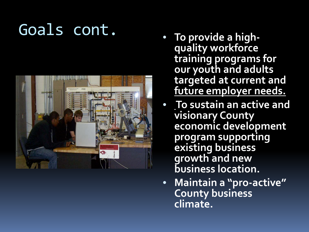# Goals cont.



- **To provide a high - quality workforce training programs for our youth and adults targeted at current and future employer needs.**
- **To sustain an active and visionary County economic development program supporting existing business growth and new business location.**
- **Maintain a "pro -active" County business climate.**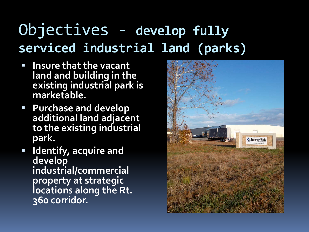### Objectives - **develop fully serviced industrial land (parks)**

- **Insure that the vacant land and building in the existing industrial park is marketable.**
- **Purchase and develop additional land adjacent to the existing industrial park.**
- **Identify, acquire and develop industrial/commercial property at strategic locations along the Rt. 360 corridor.**

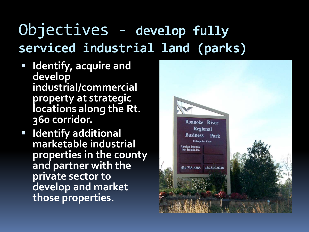# Objectives - **develop fully serviced industrial land (parks)**

- **I** Identify, acquire and **develop industrial/commercial property at strategic locations along the Rt. 360 corridor.**
- **Identify additional marketable industrial properties in the county and partner with the private sector to develop and market those properties.**

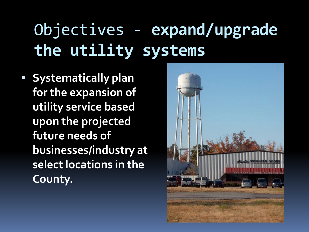# Objectives - **expand/upgrade the utility systems**

**Systematically plan for the expansion of utility service based upon the projected future needs of businesses/industry at select locations in the County.**

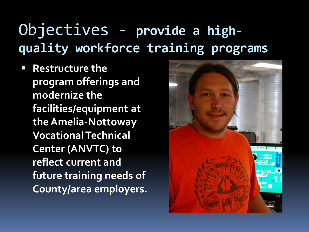## Objectives - **provide a highquality workforce training programs**

 **Restructure the program offerings and modernize the facilities/equipment at the Amelia-Nottoway Vocational Technical Center (ANVTC) to reflect current and future training needs of County/area employers.**

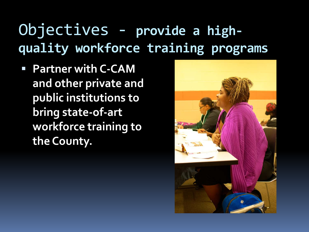### Objectives - **provide a highquality workforce training programs**

 **Partner with C-CAM and other private and public institutions to bring state-of-art workforce training to the County.**

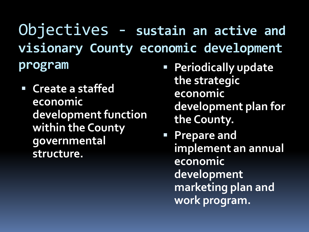Objectives - **sustain an active and visionary County economic development program**

- **Create a staffed economic development function within the County governmental structure.**
- **Periodically update the strategic economic development plan for the County.**

 **Prepare and implement an annual economic development marketing plan and work program.**